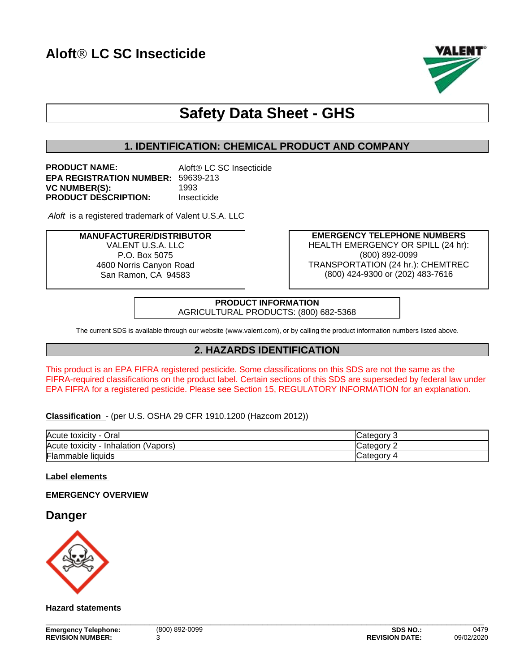

# **Safety Data Sheet - GHS**

# **1. IDENTIFICATION: CHEMICAL PRODUCT AND COMPANY**

**PRODUCT NAME:** Aloft<sup>®</sup> LC SC Insecticide **EPA REGISTRATION NUMBER:** 59639-213 **VC NUMBER(S):** 1993 **PRODUCT DESCRIPTION:** Insecticide

Aloft is a registered trademark of Valent U.S.A. LLC

**MANUFACTURER/DISTRIBUTOR** VALENT U.S.A. LLC P.O. Box 5075 4600 Norris Canyon Road San Ramon, CA 94583

**EMERGENCY TELEPHONE NUMBERS** HEALTH EMERGENCY OR SPILL (24 hr): (800) 892-0099 TRANSPORTATION (24 hr.): CHEMTREC (800) 424-9300 or (202) 483-7616

**PRODUCT INFORMATION** AGRICULTURAL PRODUCTS: (800) 682-5368

The current SDS is available through our website (www.valent.com), or by calling the product information numbers listed above.

# **2. HAZARDS IDENTIFICATION**

This product is an EPA FIFRA registered pesticide. Some classifications on this SDS are not the same as the FIFRA-required classifications on the product label. Certain sections of this SDS are superseded by federal law under EPA FIFRA for a registered pesticide. Please see Section 15, REGULATORY INFORMATION for an explanation.

**Classification** - (per U.S. OSHA 29 CFR 1910.1200 (Hazcom 2012))

| Acute toxicity<br>Oral                       | <b>Category</b>  |
|----------------------------------------------|------------------|
| Acute toxicity<br>⋅ - Inhalation<br>'Vapors, | Category         |
| Flammable<br>liquids                         | <b>ICategory</b> |

**Label elements** 

### **EMERGENCY OVERVIEW**

# **Danger**



**Hazard statements**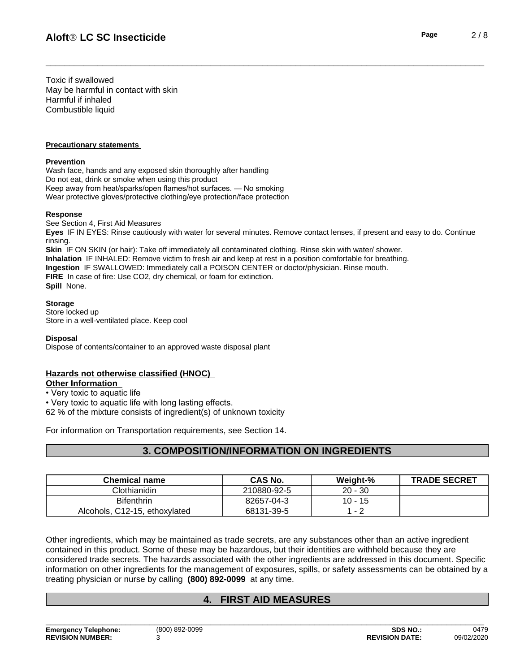Toxic if swallowed May be harmful in contact with skin Harmful if inhaled Combustible liquid

#### **Precautionary statements**

#### **Prevention**

Wash face, hands and any exposed skin thoroughly after handling Do not eat, drink or smoke when using this product Keep away from heat/sparks/open flames/hot surfaces. — No smoking Wear protective gloves/protective clothing/eye protection/face protection

#### **Response**

See Section 4, First Aid Measures **Eyes** IF IN EYES: Rinse cautiously with water for several minutes. Remove contact lenses, if present and easy to do. Continue rinsing. **Skin** IF ON SKIN (or hair): Take off immediately all contaminated clothing. Rinse skin with water/ shower. **Inhalation** IF INHALED: Remove victim to fresh air and keep at rest in a position comfortable for breathing. **Ingestion** IF SWALLOWED: Immediately call a POISON CENTER or doctor/physician. Rinse mouth. **FIRE** In case of fire: Use CO2, dry chemical, or foam for extinction. **Spill** None.

#### **Storage**

Store locked up Store in a well-ventilated place. Keep cool

**Disposal**

Dispose of contents/container to an approved waste disposal plant

# **Hazards not otherwise classified (HNOC)**

# **Other Information**

• Very toxic to aquatic life

• Very toxic to aquatic life with long lasting effects.

 $62$  % of the mixture consists of ingredient(s) of unknown toxicity

For information on Transportation requirements, see Section 14.

# **3. COMPOSITION/INFORMATION ON INGREDIENTS**

| <b>Chemical name</b>          | <b>CAS No.</b> | Weight-%  | <b>TRADE SECRET</b> |
|-------------------------------|----------------|-----------|---------------------|
| Clothianidin                  | 210880-92-5    | $20 - 30$ |                     |
| <b>Bifenthrin</b>             | 82657-04-3     | -15<br>10 |                     |
| Alcohols, C12-15, ethoxylated | 68131-39-5     |           |                     |

Other ingredients, which may be maintained as trade secrets, are any substances other than an active ingredient contained in this product. Some of these may be hazardous, but their identities are withheld because they are considered trade secrets. The hazards associated with the otheringredients are addressed in this document. Specific information on other ingredients for the management of exposures, spills, or safety assessments can be obtained by a treating physician or nurse by calling **(800) 892-0099** at any time.

# **4. FIRST AID MEASURES**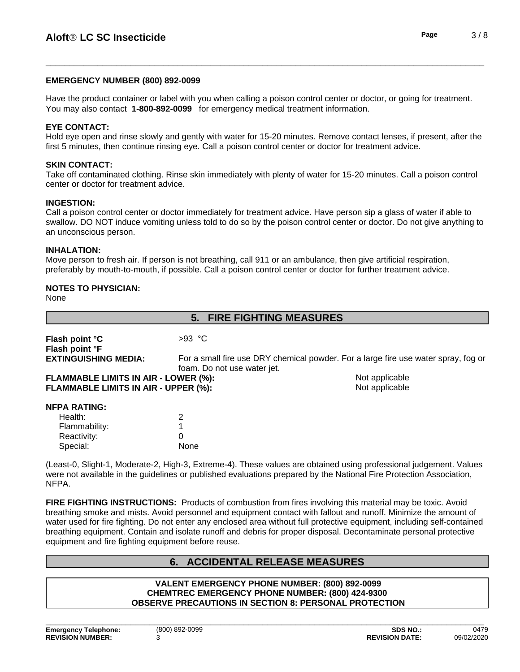#### **EMERGENCY NUMBER (800) 892-0099**

Have the product container or label with you when calling a poison control center or doctor, or going for treatment. You may also contact **1-800-892-0099** for emergency medical treatment information.

#### **EYE CONTACT:**

Hold eye open and rinse slowly and gently with water for 15-20 minutes. Remove contact lenses, if present, after the first 5 minutes, then continue rinsing eye. Call a poison control center or doctor for treatment advice.

#### **SKIN CONTACT:**

Take off contaminated clothing. Rinse skin immediately with plenty of water for 15-20 minutes. Call a poison control center or doctor for treatment advice.

#### **INGESTION:**

Call a poison control center or doctor immediately for treatment advice. Have person sip a glass of water if able to swallow. DO NOT induce vomiting unless told to do so by the poison control center or doctor. Do not give anything to an unconscious person.

#### **INHALATION:**

Move person to fresh air. If person is not breathing, call 911 or an ambulance, then give artificial respiration, preferably by mouth-to-mouth, if possible. Call a poison control center or doctor for further treatment advice.

### **NOTES TO PHYSICIAN:**

None

|                                             | 5. FIRE FIGHTING MEASURES   |                                                                                    |
|---------------------------------------------|-----------------------------|------------------------------------------------------------------------------------|
| Flash point °C                              | $>93$ °C                    |                                                                                    |
| Flash point °F                              |                             |                                                                                    |
| <b>EXTINGUISHING MEDIA:</b>                 |                             | For a small fire use DRY chemical powder. For a large fire use water spray, fog or |
|                                             | foam. Do not use water jet. |                                                                                    |
| <b>FLAMMABLE LIMITS IN AIR - LOWER (%):</b> |                             | Not applicable                                                                     |
| FLAMMABLE LIMITS IN AIR - UPPER (%):        |                             | Not applicable                                                                     |
| <b>NFPA RATING:</b>                         |                             |                                                                                    |
| Health:                                     | 2                           |                                                                                    |
| Flammability:                               |                             |                                                                                    |
| Reactivity:                                 | 0                           |                                                                                    |
| Special:                                    | None                        |                                                                                    |

(Least-0, Slight-1, Moderate-2, High-3, Extreme-4). These values are obtained using professional judgement. Values were not available in the guidelines or published evaluations prepared by the National Fire Protection Association, NFPA.

**FIRE FIGHTING INSTRUCTIONS:** Products of combustion from fires involving this material may be toxic. Avoid breathing smoke and mists. Avoid personnel and equipment contact with fallout and runoff. Minimize the amount of water used for fire fighting. Do not enter any enclosed area without full protective equipment, including self-contained breathing equipment. Contain and isolate runoff and debris for proper disposal. Decontaminate personal protective equipment and fire fighting equipment before reuse.

# **6. ACCIDENTAL RELEASE MEASURES**

#### **VALENT EMERGENCY PHONE NUMBER: (800) 892-0099 CHEMTREC EMERGENCY PHONE NUMBER: (800) 424-9300 OBSERVE PRECAUTIONS IN SECTION 8: PERSONAL PROTECTION**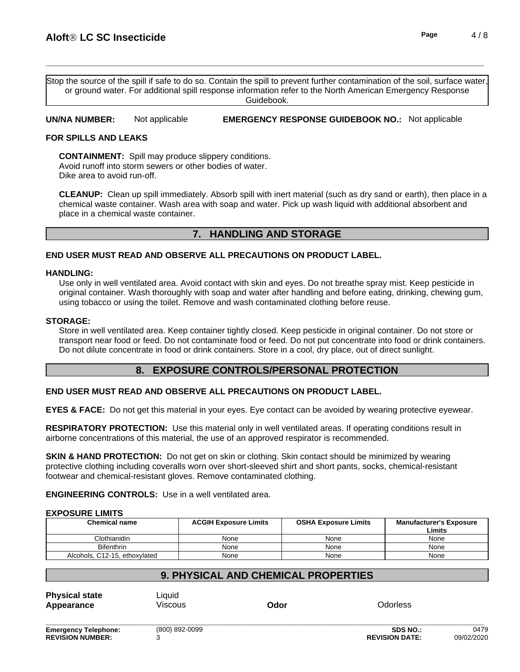Stop the source of the spill if safe to do so. Contain the spill to prevent further contamination of the soil, surface water, or ground water. For additional spill response information refer to the North American Emergency Response Guidebook.

**UN/NA NUMBER:** Not applicable **EMERGENCY RESPONSE GUIDEBOOK NO.:** Not applicable

#### **FOR SPILLS AND LEAKS**

**CONTAINMENT:** Spill may produce slippery conditions. Avoid runoff into storm sewers or other bodies of water. Dike area to avoid run-off.

**CLEANUP:** Clean up spill immediately. Absorb spill with inert material (such as dry sand or earth), then place in a chemical waste container. Wash area with soap and water. Pick up wash liquid with additional absorbent and place in a chemical waste container.

# **7. HANDLING AND STORAGE**

#### **END USER MUST READ AND OBSERVE ALL PRECAUTIONS ON PRODUCT LABEL.**

#### **HANDLING:**

Use only in well ventilated area. Avoid contact with skin and eyes. Do not breathe spray mist. Keep pesticide in original container. Wash thoroughly with soap and water after handling and before eating, drinking, chewing gum, using tobacco or using the toilet. Remove and wash contaminated clothing before reuse.

#### **STORAGE:**

Store in well ventilated area. Keep container tightly closed. Keep pesticide in original container. Do not store or transport near food or feed. Do not contaminate food or feed. Do not put concentrate into food or drink containers. Do not dilute concentrate in food or drink containers. Store in a cool, dry place, out of direct sunlight.

# **8. EXPOSURE CONTROLS/PERSONAL PROTECTION**

### **END USER MUST READ AND OBSERVE ALL PRECAUTIONS ON PRODUCT LABEL.**

**EYES & FACE:** Do not get this material in your eyes. Eye contact can be avoided by wearing protective eyewear.

**RESPIRATORY PROTECTION:** Use this material only in well ventilated areas. If operating conditions result in airborne concentrations of this material, the use of an approved respirator is recommended.

**SKIN & HAND PROTECTION:** Do not get on skin or clothing. Skin contact should be minimized by wearing protective clothing including coveralls worn over short-sleeved shirt and short pants, socks, chemical-resistant footwear and chemical-resistant gloves. Remove contaminated clothing.

**ENGINEERING CONTROLS:** Use in a well ventilated area.

#### **EXPOSURE LIMITS**

| <b>Chemical name</b>          | <b>ACGIH Exposure Limits</b> | <b>OSHA Exposure Limits</b> | <b>Manufacturer's Exposure</b><br>Limits |
|-------------------------------|------------------------------|-----------------------------|------------------------------------------|
| Clothianidin                  | None                         | None                        | None                                     |
| <b>Bifenthrin</b>             | None                         | None                        | None                                     |
| Alcohols, C12-15, ethoxylated | None                         | None                        | None                                     |

# **9. PHYSICAL AND CHEMICAL PROPERTIES**

**Physical state** Liquid **Appearance** Viscous **Odor** Odorless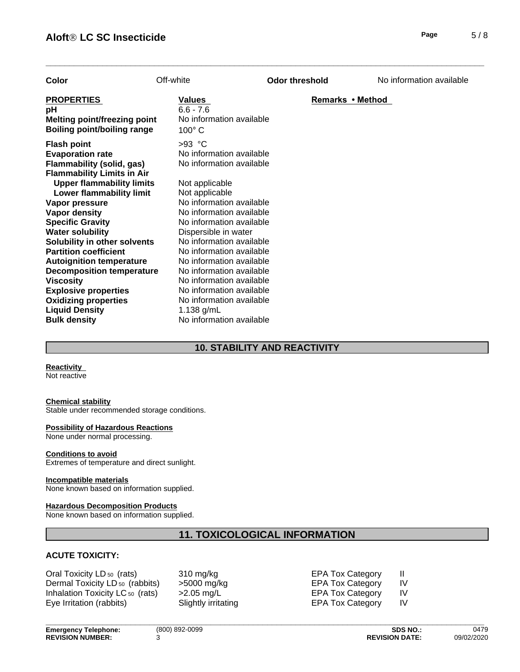| Page | 5/8 |
|------|-----|
|      |     |

| Color                                                                                                                                                                                                                                                                                                                                                                                                                                                                                                                                                    | Off-white                                                                                                                                                                                                                                                                                                                                                                                                                                                      | <b>Odor threshold</b> | No information available |
|----------------------------------------------------------------------------------------------------------------------------------------------------------------------------------------------------------------------------------------------------------------------------------------------------------------------------------------------------------------------------------------------------------------------------------------------------------------------------------------------------------------------------------------------------------|----------------------------------------------------------------------------------------------------------------------------------------------------------------------------------------------------------------------------------------------------------------------------------------------------------------------------------------------------------------------------------------------------------------------------------------------------------------|-----------------------|--------------------------|
| <b>PROPERTIES</b><br>рH<br><b>Melting point/freezing point</b><br>Boiling point/boiling range                                                                                                                                                                                                                                                                                                                                                                                                                                                            | <b>Values</b><br>$6.6 - 7.6$<br>No information available<br>$100^\circ$ C                                                                                                                                                                                                                                                                                                                                                                                      | Remarks • Method      |                          |
| <b>Flash point</b><br><b>Evaporation rate</b><br><b>Flammability (solid, gas)</b><br><b>Flammability Limits in Air</b><br><b>Upper flammability limits</b><br>Lower flammability limit<br>Vapor pressure<br>Vapor density<br><b>Specific Gravity</b><br><b>Water solubility</b><br>Solubility in other solvents<br><b>Partition coefficient</b><br><b>Autoignition temperature</b><br><b>Decomposition temperature</b><br><b>Viscosity</b><br><b>Explosive properties</b><br><b>Oxidizing properties</b><br><b>Liquid Density</b><br><b>Bulk density</b> | $>93$ °C<br>No information available<br>No information available<br>Not applicable<br>Not applicable<br>No information available<br>No information available<br>No information available<br>Dispersible in water<br>No information available<br>No information available<br>No information available<br>No information available<br>No information available<br>No information available<br>No information available<br>1.138 g/mL<br>No information available |                       |                          |

# **10. STABILITY AND REACTIVITY**

#### **Reactivity**

Not reactive

#### **Chemical stability**

Stable under recommended storage conditions.

#### **Possibility of Hazardous Reactions**

None under normal processing.

#### **Conditions to avoid**

Extremes of temperature and direct sunlight.

#### **Incompatible materials**

None known based on information supplied.

#### **Hazardous Decomposition Products**

None known based on information supplied.

# **11. TOXICOLOGICAL INFORMATION**

### **ACUTE TOXICITY:**

Oral Toxicity LD <sub>50</sub> (rats) 310 mg/kg EPA Tox Category II<br>Dermal Toxicity LD <sub>50</sub> (rabbits) >5000 mg/kg EPA Tox Category IV Dermal Toxicity LD 50 (rabbits) >5000 mg/kg Inhalation Toxicity LC <sub>50</sub> (rats)  $\geq 2.05$  mg/L EPA Tox Category IV Eye Irritation (rabbits) Slightly irritating EPA Tox Category IV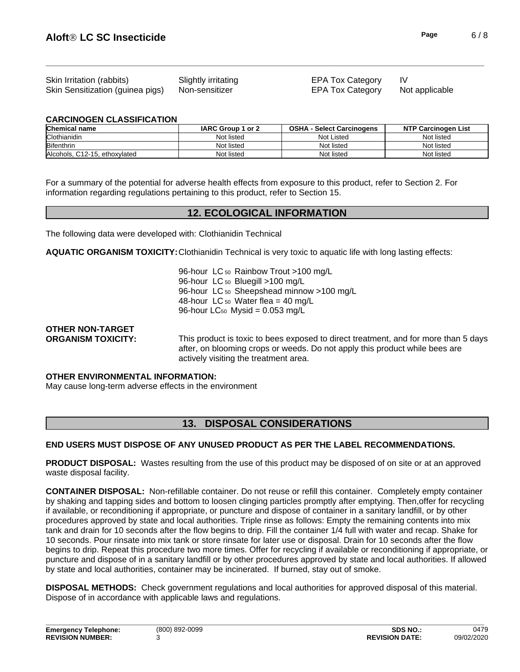| Skin Irritation (rabbits)                       | Slightly irritating | <b>EPA Tox Category</b> |                |
|-------------------------------------------------|---------------------|-------------------------|----------------|
| Skin Sensitization (guinea pigs) Non-sensitizer |                     | <b>EPA Tox Category</b> | Not applicable |

#### **CARCINOGEN CLASSIFICATION**

| <b>Chemical name</b>          | IARC Group 1 or 2 | <b>OSHA</b><br>- Select Carcinogens | <b>NTP Carcinogen List</b> |
|-------------------------------|-------------------|-------------------------------------|----------------------------|
| Clothianidin                  | Not listed        | Not Listed                          | Not listed                 |
| <b>Bifenthrin</b>             | Not listed        | Not listed                          | Not listed                 |
| Alcohols, C12-15, ethoxylated | Not listed        | Not listed                          | Not listed                 |

For a summary of the potential for adverse health effects from exposure to this product, refer to Section 2. For information regarding regulations pertaining to this product, refer to Section 15.

# **12. ECOLOGICAL INFORMATION**

The following data were developed with: Clothianidin Technical

**AQUATIC ORGANISM TOXICITY:**Clothianidin Technical is very toxic to aquatic life with long lasting effects:

96-hour LC<sub>50</sub> Rainbow Trout >100 mg/L 96-hour LC 50 Bluegill >100 mg/L 96-hour LC 50 Sheepshead minnow >100 mg/L 48-hour LC  $_{50}$  Water flea = 40 mg/L 96-hour LC<sub>50</sub> Mysid =  $0.053$  mg/L

# **OTHER NON-TARGET**

**ORGANISM TOXICITY:** This product is toxic to bees exposed to direct treatment, and for more than 5 days after, on blooming crops or weeds. Do not apply this product while bees are actively visiting the treatment area.

### **OTHER ENVIRONMENTAL INFORMATION:**

May cause long-term adverse effects in the environment

# **13. DISPOSAL CONSIDERATIONS**

### **END USERS MUST DISPOSE OF ANY UNUSED PRODUCT AS PER THE LABEL RECOMMENDATIONS.**

**PRODUCT DISPOSAL:** Wastes resulting from the use of this product may be disposed of on site or at an approved waste disposal facility.

**CONTAINER DISPOSAL:** Non-refillable container. Do not reuse or refillthis container. Completely empty container by shaking and tapping sides and bottom to loosen clinging particles promptly after emptying. Then,offer for recycling if available, or reconditioning if appropriate, or puncture and dispose of container in a sanitary landfill, or by other procedures approved by state and local authorities. Triple rinse as follows: Empty the remaining contents into mix tank and drain for 10 seconds after the flow begins to drip. Fill the container 1/4 full with water and recap. Shake for 10 seconds. Pour rinsate into mix tank or store rinsate for later use or disposal. Drain for 10 seconds after the flow begins to drip. Repeat this procedure two more times. Offer for recycling if available or reconditioning if appropriate, or puncture and dispose of in a sanitary landfill or by other procedures approved by state and local authorities. If allowed by state and local authorities, container may be incinerated. If burned, stay out of smoke.

**DISPOSAL METHODS:** Check government regulations and local authorities for approved disposal of this material. Dispose of in accordance with applicable laws and regulations.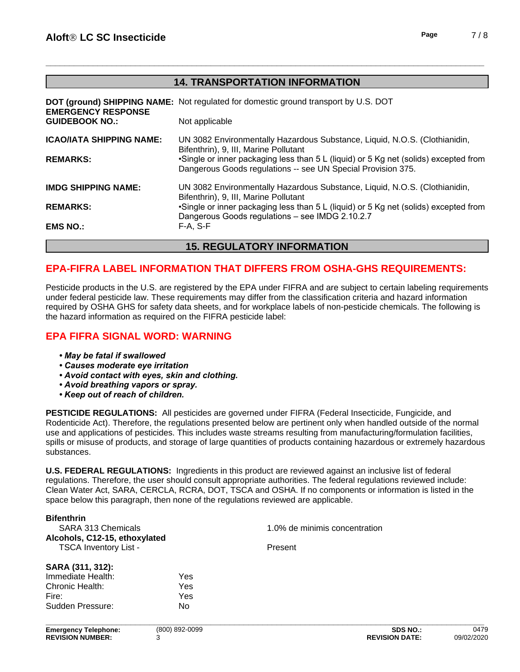# **14. TRANSPORTATION INFORMATION**

| <b>EMS NO.:</b>                 | F-A. S-F                                                                                                                                             |
|---------------------------------|------------------------------------------------------------------------------------------------------------------------------------------------------|
| <b>REMARKS:</b>                 | .Single or inner packaging less than 5 L (liquid) or 5 Kg net (solids) excepted from<br>Dangerous Goods regulations - see IMDG 2.10.2.7              |
| <b>IMDG SHIPPING NAME:</b>      | UN 3082 Environmentally Hazardous Substance, Liquid, N.O.S. (Clothianidin,<br>Bifenthrin), 9, III, Marine Pollutant                                  |
| <b>REMARKS:</b>                 | •Single or inner packaging less than 5 L (liquid) or 5 Kg net (solids) excepted from<br>Dangerous Goods regulations -- see UN Special Provision 375. |
| <b>ICAO/IATA SHIPPING NAME:</b> | UN 3082 Environmentally Hazardous Substance, Liquid, N.O.S. (Clothianidin,<br>Bifenthrin), 9, III, Marine Pollutant                                  |
| <b>GUIDEBOOK NO.:</b>           | Not applicable                                                                                                                                       |
| <b>EMERGENCY RESPONSE</b>       | <b>DOT (ground) SHIPPING NAME:</b> Not regulated for domestic ground transport by U.S. DOT                                                           |

# **15. REGULATORY INFORMATION**

# **EPA-FIFRA LABEL INFORMATION THAT DIFFERS FROM OSHA-GHS REQUIREMENTS:**

Pesticide products in the U.S. are registered by the EPA under FIFRA and are subject to certain labeling requirements under federal pesticide law. These requirements may differ from the classification criteria and hazard information required by OSHA GHS for safety data sheets, and for workplace labels of non-pesticide chemicals. The following is the hazard information as required on the FIFRA pesticide label:

# **EPA FIFRA SIGNAL WORD: WARNING**

- *•Maybefatalifswallowed*
- **Causes moderate eye irritation**
- *•Avoidcontactwitheyes,skinandclothing.*
- **Avoid breathing vapors or spray.**
- *•Keepoutofreachofchildren.*

**PESTICIDE REGULATIONS:** All pesticides are governed under FIFRA (Federal Insecticide, Fungicide, and Rodenticide Act). Therefore, the regulations presented below are pertinent only when handled outside of the normal use and applications of pesticides. This includes waste streams resulting from manufacturing/formulation facilities, spills or misuse of products, and storage of large quantities of products containing hazardous or extremely hazardous substances.

**U.S. FEDERAL REGULATIONS:** Ingredients in this product are reviewed against an inclusive list of federal regulations. Therefore, the user should consult appropriate authorities. The federal regulations reviewed include: Clean Water Act, SARA, CERCLA, RCRA, DOT, TSCA and OSHA. If no components or information islisted in the space below this paragraph, then none of the regulations reviewed are applicable.

| <b>Bifenthrin</b>                                                                          |     |                               |  |
|--------------------------------------------------------------------------------------------|-----|-------------------------------|--|
| <b>SARA 313 Chemicals</b><br>Alcohols, C12-15, ethoxylated<br><b>TSCA Inventory List -</b> |     | 1.0% de minimis concentration |  |
|                                                                                            |     |                               |  |
|                                                                                            |     | Present                       |  |
| SARA (311, 312):                                                                           |     |                               |  |
| Immediate Health:                                                                          | Yes |                               |  |
| Chronic Health:                                                                            | Yes |                               |  |
| Fire:                                                                                      | Yes |                               |  |
| Sudden Pressure:                                                                           | No  |                               |  |